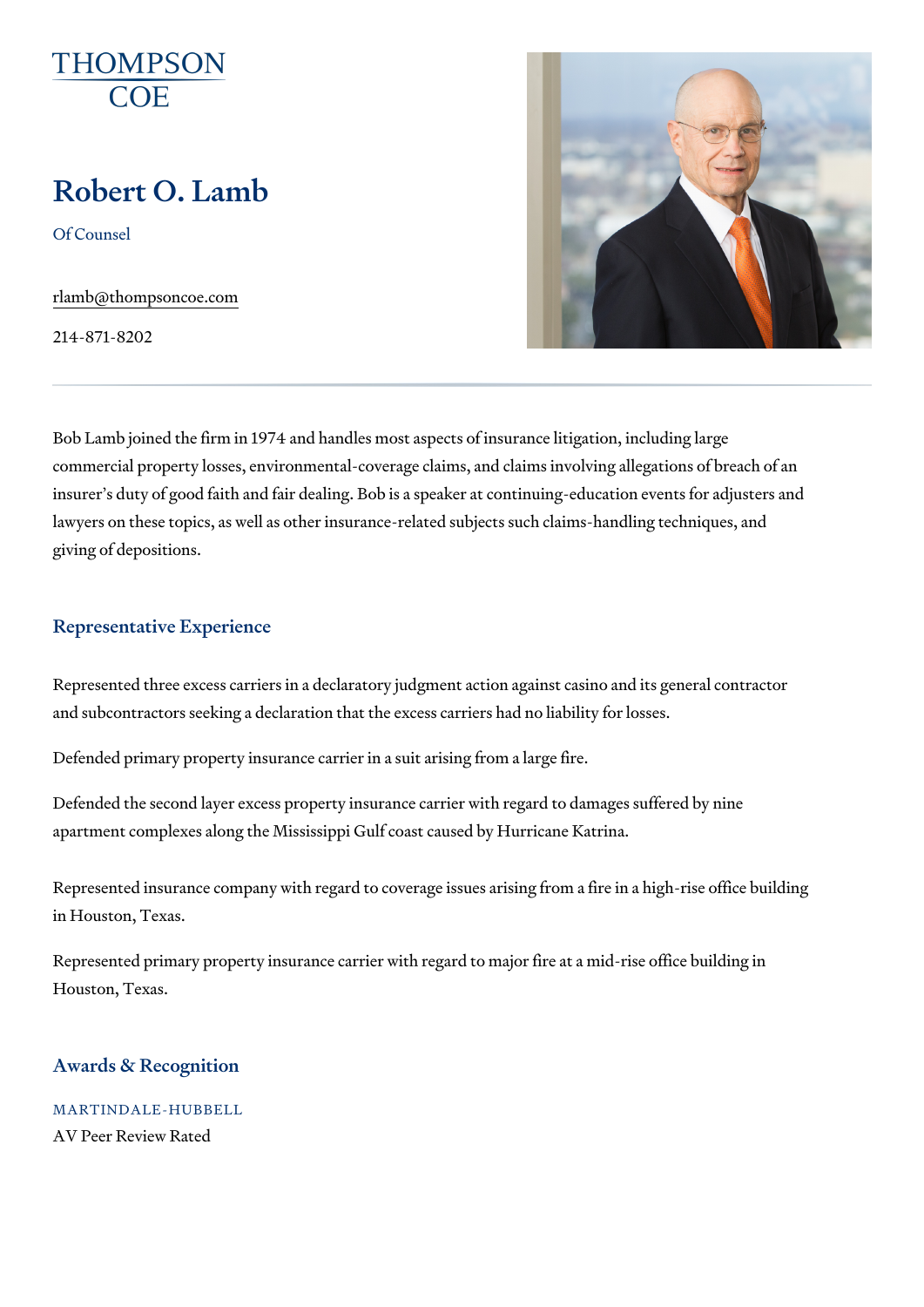# Robert O. Lamb

Of Counsel

[rlamb@thompson](mailto:rlamb@thompsoncoe.com)coe.com

214-871-8202

Bob Lamb joined the firm in 1974 and handles most aspects of insurance li commercial property losses, environmental-coverage claims, and claims in insurer s duty of good faith and fair dealing. Bob is a speaker at continuin lawyers on these topics, as well as other insurance-related subjects such giving of depositions.

### Representative Experience

Represented three excess carriers in a declaratory judgment action agains and subcontractors seeking a declaration that the excess carriers had no I

Defended primary property insurance carrier in a suit arising from a large

Defended the second layer excess property insurance carrier with regard t apartment complexes along the Mississippi Gulf coast caused by Hurricane

Represented insurance company with regard to coverage issues arising fro in Houston, Texas.

Represented primary property insurance carrier with regard to major fire a Houston, Texas.

## Awards & Recognition

MARTINDALE-HUBBELL AV Peer Review Rated